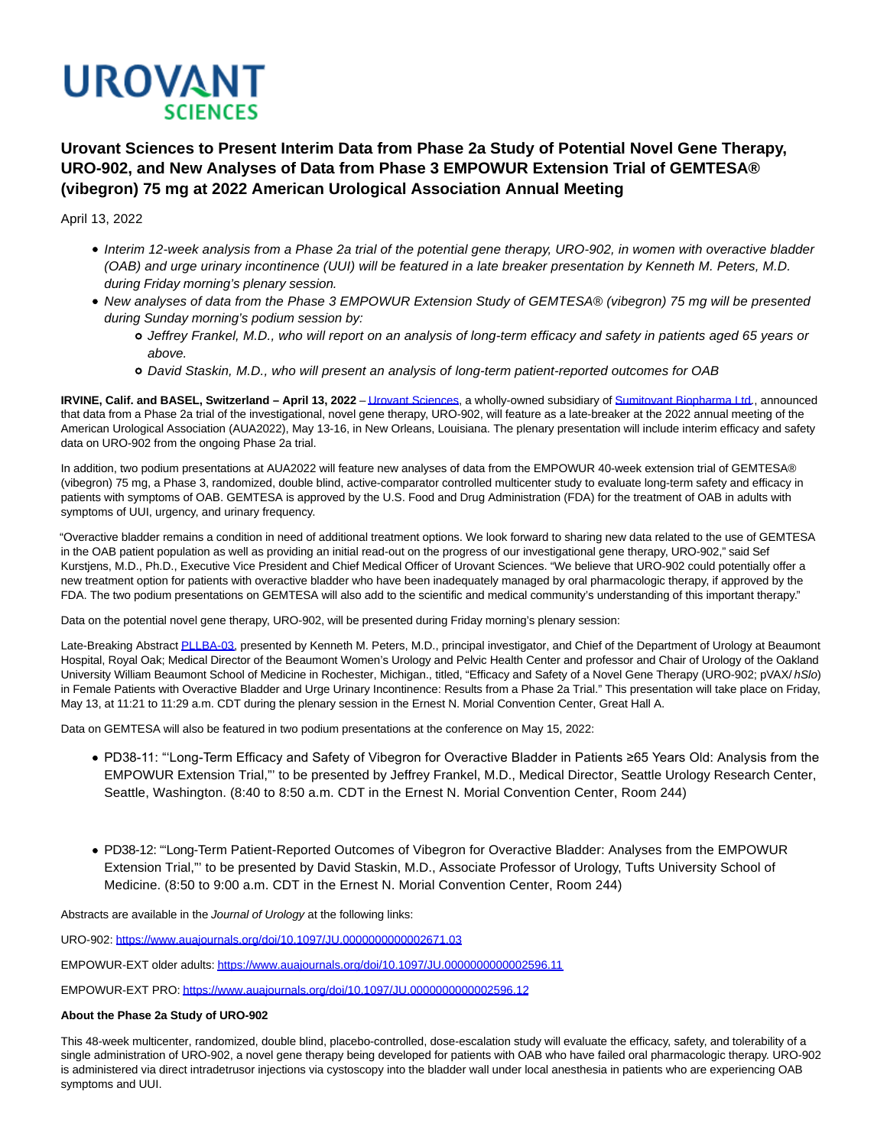

**Urovant Sciences to Present Interim Data from Phase 2a Study of Potential Novel Gene Therapy, URO-902, and New Analyses of Data from Phase 3 EMPOWUR Extension Trial of GEMTESA® (vibegron) 75 mg at 2022 American Urological Association Annual Meeting**

April 13, 2022

- Interim 12-week analysis from a Phase 2a trial of the potential gene therapy, URO-902, in women with overactive bladder (OAB) and urge urinary incontinence (UUI) will be featured in a late breaker presentation by Kenneth M. Peters, M.D. during Friday morning's plenary session.
- New analyses of data from the Phase 3 EMPOWUR Extension Study of GEMTESA® (vibegron) 75 mg will be presented during Sunday morning's podium session by:
	- Jeffrey Frankel, M.D., who will report on an analysis of long-term efficacy and safety in patients aged 65 years or above.
	- David Staskin, M.D., who will present an analysis of long-term patient-reported outcomes for OAB

**IRVINE, Calif. and BASEL, Switzerland – April 13, 2022** [– Urovant Sciences,](http://www.urovant.com/) a wholly-owned subsidiary of [Sumitovant Biopharma Ltd.,](http://www.sumitovant.com/) announced that data from a Phase 2a trial of the investigational, novel gene therapy, URO-902, will feature as a late-breaker at the 2022 annual meeting of the American Urological Association (AUA2022), May 13-16, in New Orleans, Louisiana. The plenary presentation will include interim efficacy and safety data on URO-902 from the ongoing Phase 2a trial.

In addition, two podium presentations at AUA2022 will feature new analyses of data from the EMPOWUR 40-week extension trial of GEMTESA® (vibegron) 75 mg, a Phase 3, randomized, double blind, active-comparator controlled multicenter study to evaluate long-term safety and efficacy in patients with symptoms of OAB. GEMTESA is approved by the U.S. Food and Drug Administration (FDA) for the treatment of OAB in adults with symptoms of UUI, urgency, and urinary frequency.

"Overactive bladder remains a condition in need of additional treatment options. We look forward to sharing new data related to the use of GEMTESA in the OAB patient population as well as providing an initial read-out on the progress of our investigational gene therapy, URO-902," said Sef Kurstjens, M.D., Ph.D., Executive Vice President and Chief Medical Officer of Urovant Sciences. "We believe that URO-902 could potentially offer a new treatment option for patients with overactive bladder who have been inadequately managed by oral pharmacologic therapy, if approved by the FDA. The two podium presentations on GEMTESA will also add to the scientific and medical community's understanding of this important therapy."

Data on the potential novel gene therapy, URO-902, will be presented during Friday morning's plenary session:

Late-Breaking Abstrac[t PLLBA-03,](https://www.eventscribe.net/2022/AUA2022/searchGlobal.asp) presented by Kenneth M. Peters, M.D., principal investigator, and Chief of the Department of Urology at Beaumont Hospital, Royal Oak; Medical Director of the Beaumont Women's Urology and Pelvic Health Center and professor and Chair of Urology of the Oakland University William Beaumont School of Medicine in Rochester, Michigan., titled, "Efficacy and Safety of a Novel Gene Therapy (URO-902; pVAX/ hSlo) in Female Patients with Overactive Bladder and Urge Urinary Incontinence: Results from a Phase 2a Trial." This presentation will take place on Friday, May 13, at 11:21 to 11:29 a.m. CDT during the plenary session in the Ernest N. Morial Convention Center, Great Hall A.

Data on GEMTESA will also be featured in two podium presentations at the conference on May 15, 2022:

- PD38-11: "'Long-Term Efficacy and Safety of Vibegron for Overactive Bladder in Patients ≥65 Years Old: Analysis from the EMPOWUR Extension Trial,"' to be presented by Jeffrey Frankel, M.D., Medical Director, Seattle Urology Research Center, Seattle, Washington. (8:40 to 8:50 a.m. CDT in the Ernest N. Morial Convention Center, Room 244)
- PD38-12: "'Long-Term Patient-Reported Outcomes of Vibegron for Overactive Bladder: Analyses from the EMPOWUR Extension Trial,"' to be presented by David Staskin, M.D., Associate Professor of Urology, Tufts University School of Medicine. (8:50 to 9:00 a.m. CDT in the Ernest N. Morial Convention Center, Room 244)

Abstracts are available in the Journal of Urology at the following links:

URO-902[: https://www.auajournals.org/doi/10.1097/JU.0000000000002671.03](https://www.auajournals.org/doi/10.1097/JU.0000000000002671.03)

EMPOWUR-EXT older adults[: https://www.auajournals.org/doi/10.1097/JU.0000000000002596.11](https://www.auajournals.org/doi/10.1097/JU.0000000000002596.11)

EMPOWUR-EXT PRO[: https://www.auajournals.org/doi/10.1097/JU.0000000000002596.12](https://www.auajournals.org/doi/10.1097/JU.0000000000002596.12)

# **About the Phase 2a Study of URO-902**

This 48-week multicenter, randomized, double blind, placebo-controlled, dose-escalation study will evaluate the efficacy, safety, and tolerability of a single administration of URO-902, a novel gene therapy being developed for patients with OAB who have failed oral pharmacologic therapy. URO-902 is administered via direct intradetrusor injections via cystoscopy into the bladder wall under local anesthesia in patients who are experiencing OAB symptoms and UUI.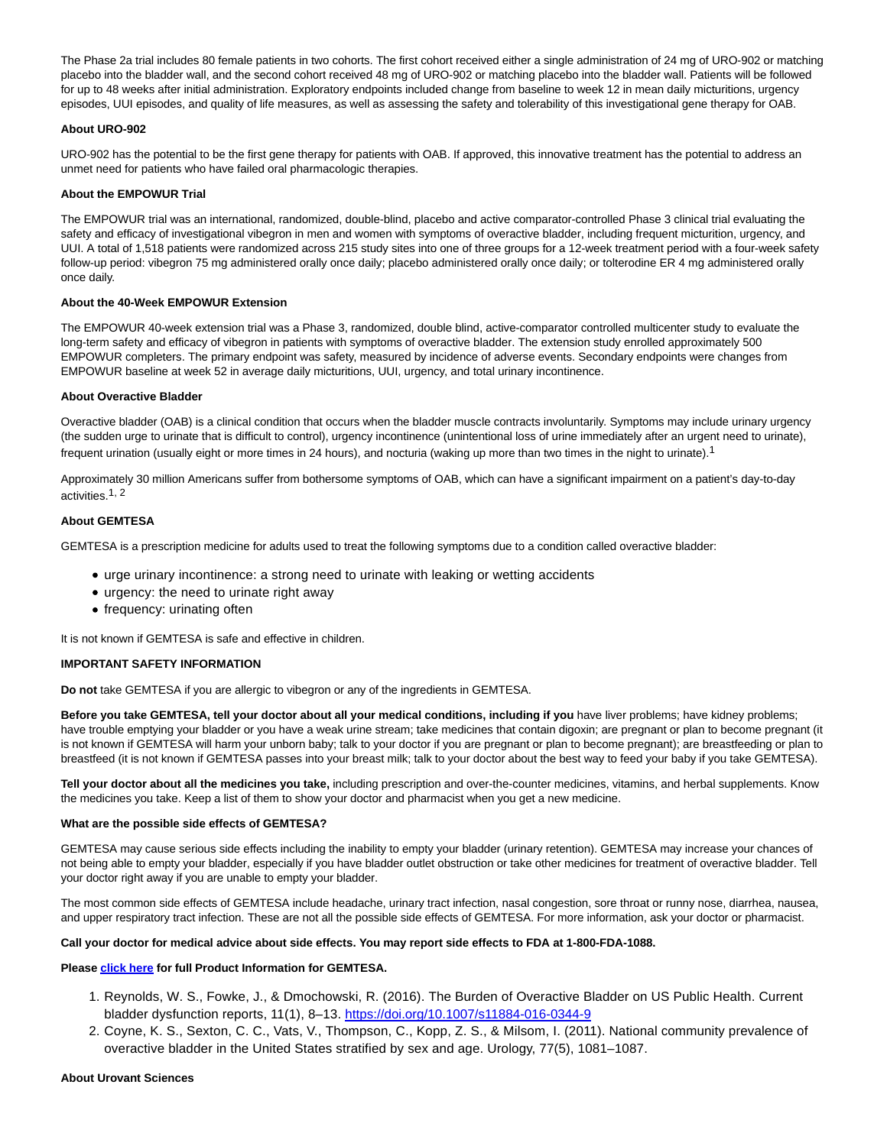The Phase 2a trial includes 80 female patients in two cohorts. The first cohort received either a single administration of 24 mg of URO-902 or matching placebo into the bladder wall, and the second cohort received 48 mg of URO-902 or matching placebo into the bladder wall. Patients will be followed for up to 48 weeks after initial administration. Exploratory endpoints included change from baseline to week 12 in mean daily micturitions, urgency episodes, UUI episodes, and quality of life measures, as well as assessing the safety and tolerability of this investigational gene therapy for OAB.

# **About URO-902**

URO-902 has the potential to be the first gene therapy for patients with OAB. If approved, this innovative treatment has the potential to address an unmet need for patients who have failed oral pharmacologic therapies.

### **About the EMPOWUR Trial**

The EMPOWUR trial was an international, randomized, double-blind, placebo and active comparator-controlled Phase 3 clinical trial evaluating the safety and efficacy of investigational vibegron in men and women with symptoms of overactive bladder, including frequent micturition, urgency, and UUI. A total of 1,518 patients were randomized across 215 study sites into one of three groups for a 12-week treatment period with a four-week safety follow-up period: vibegron 75 mg administered orally once daily; placebo administered orally once daily; or tolterodine ER 4 mg administered orally once daily.

## **About the 40-Week EMPOWUR Extension**

The EMPOWUR 40-week extension trial was a Phase 3, randomized, double blind, active-comparator controlled multicenter study to evaluate the long-term safety and efficacy of vibegron in patients with symptoms of overactive bladder. The extension study enrolled approximately 500 EMPOWUR completers. The primary endpoint was safety, measured by incidence of adverse events. Secondary endpoints were changes from EMPOWUR baseline at week 52 in average daily micturitions, UUI, urgency, and total urinary incontinence.

#### **About Overactive Bladder**

Overactive bladder (OAB) is a clinical condition that occurs when the bladder muscle contracts involuntarily. Symptoms may include urinary urgency (the sudden urge to urinate that is difficult to control), urgency incontinence (unintentional loss of urine immediately after an urgent need to urinate), frequent urination (usually eight or more times in 24 hours), and nocturia (waking up more than two times in the night to urinate).<sup>1</sup>

Approximately 30 million Americans suffer from bothersome symptoms of OAB, which can have a significant impairment on a patient's day-to-day activities.1, 2

# **About GEMTESA**

GEMTESA is a prescription medicine for adults used to treat the following symptoms due to a condition called overactive bladder:

- urge urinary incontinence: a strong need to urinate with leaking or wetting accidents
- urgency: the need to urinate right away
- frequency: urinating often

It is not known if GEMTESA is safe and effective in children.

# **IMPORTANT SAFETY INFORMATION**

**Do not** take GEMTESA if you are allergic to vibegron or any of the ingredients in GEMTESA.

**Before you take GEMTESA, tell your doctor about all your medical conditions, including if you** have liver problems; have kidney problems; have trouble emptying your bladder or you have a weak urine stream; take medicines that contain digoxin; are pregnant or plan to become pregnant (it is not known if GEMTESA will harm your unborn baby; talk to your doctor if you are pregnant or plan to become pregnant); are breastfeeding or plan to breastfeed (it is not known if GEMTESA passes into your breast milk; talk to your doctor about the best way to feed your baby if you take GEMTESA).

**Tell your doctor about all the medicines you take,** including prescription and over-the-counter medicines, vitamins, and herbal supplements. Know the medicines you take. Keep a list of them to show your doctor and pharmacist when you get a new medicine.

#### **What are the possible side effects of GEMTESA?**

GEMTESA may cause serious side effects including the inability to empty your bladder (urinary retention). GEMTESA may increase your chances of not being able to empty your bladder, especially if you have bladder outlet obstruction or take other medicines for treatment of overactive bladder. Tell your doctor right away if you are unable to empty your bladder.

The most common side effects of GEMTESA include headache, urinary tract infection, nasal congestion, sore throat or runny nose, diarrhea, nausea, and upper respiratory tract infection. These are not all the possible side effects of GEMTESA. For more information, ask your doctor or pharmacist.

### **Call your doctor for medical advice about side effects. You may report side effects to FDA at 1-800-FDA-1088.**

### **Pleas[e click](https://gemtesa.com/sites/default/files/gemtesa-prescribing-information.pdf) here for full Product Information for GEMTESA.**

- 1. Reynolds, W. S., Fowke, J., & Dmochowski, R. (2016). The Burden of Overactive Bladder on US Public Health. Current bladder dysfunction reports, 11(1), 8–13. [https://doi.org/10.1007/s11884-016-0344-9](https://cts.businesswire.com/ct/CT?id=smartlink&url=https%3A%2F%2Fdoi.org%2F10.1007%2Fs11884-016-0344-9&esheet=52553625&newsitemid=20211220005599&lan=en-US&anchor=https%3A%2F%2Fdoi.org%2F10.1007%2Fs11884-016-0344-9&index=9&md5=9788acf2fb5f68fe3fa59f701146a2fe)
- 2. Coyne, K. S., Sexton, C. C., Vats, V., Thompson, C., Kopp, Z. S., & Milsom, I. (2011). National community prevalence of overactive bladder in the United States stratified by sex and age. Urology, 77(5), 1081–1087.

#### **About Urovant Sciences**